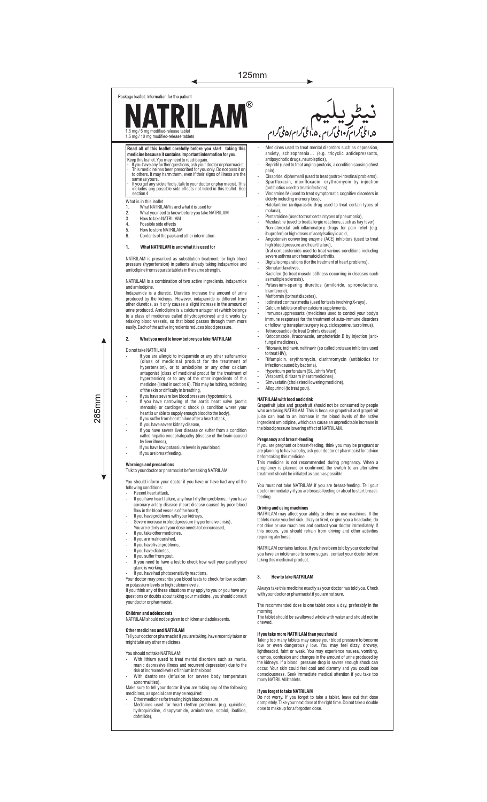## 125mm

# $\circledR$ **NATRILA** 1.5 mg / 5 mg modified-release tablet 1.5 mg / 10 mg modified-release tabletsRead all of this leaflet carefully before you start taking this<br>medicine because it contains important information for you.<br>Keep this leaflet. You may need to read it again.<br>It is medicine has been greatried for you have a pain),<br>Cisan same as yours.<br>· If you get any side effects, talk to your doctor or pharmacist. This<br>includes any possible side effects not listed in this leaflet. See<br>section 4. What is in this leaflet<br>1 What NATRII 1. What NATRILAM is and what it is used for<br>2. What you need to know before you take N<br>3. How to take NATRILAM

◀

- 2. What you need to know before you take NATRILAM 3. How to take NATRILAM
- 

Package leaflet: Information for the patient

- 
- 4. Possible side effects 5. How to store NATRILAM 6. Contents of the pack and other information
- **1. What NATRILAM is and what it is used for**

# NATRILAM is prescribed as substitution treatment for high blood pressure (hypertension) in patients already taking indapamide and amlodipine from separate tablets in the same strength.

NATRILAM is a combination of two active ingredients, indapamide

and amlodipine.<br>Indanamide is a diuretic. Diuretics increase the amount of urine Indapamide is a diuretic. Diuretics increase the amount of urine<br>produced by the kidneys. However, indapamide is different from<br>other diuretics, as it only causes a slight increase in the amount of<br>other diuretics, as it o easily. Each of the active ingredients reduces blood pressure.

### **2. What you need to know before you take NATRILAM**

## Do not take NATRILAM

- If you are allergic to indapamide or any other sulfonamide (class of medicinal product for the treatment of hypertension), or to amlodipine or any other calcium antagonist (class of medicinal produt for the treatment of hypertension) or to any of the other ingredients of this<br>medicine (listed in section 6). This may be itching, reddening<br>of the skin or difficulty in breathing,<br>If you have severe low blood pressure (hypotension),<br>If you ha
- 
- stenosis) or cardiogenic shock (a condition where your heart is unable to supply enough blood to the body), If you suffer from heart failure after a heart attack
- 
- If you have severe kidney disease, If you have severe liver disease or suffer from a condition called hepatic encephalopathy (disease of the brain caused by liver illness),
	- If you have low potassium levels in your blood. If you are breastfeeding.

**Warnings and precautions** Talk to your doctor or pharmacist before taking NATRILAM

- You should inform your doctor if you have or have had any of the following conditions:
- with the continuous<br>- Recent heart attack,<br>- If you have heart failure, any heart rhythm problems, if you have - If you have heart failure, any heart rhythm problems, if you have coronary artery disease (heart disease caused by poor blood flow in the blood vessels of the heart), - If you have problems with your kidneys,
- 
- Severe increase in blood pressure (hypertensive crisis), You are elderly and your dose needs to be increased,
- If you take other medicines.
- If you are malnourished.
- If you have liver problems, If you have diabetes, If you suffer from gout,
- 
- If you need to have a test to check how well your parathyroid gland is working,
- giana is wonting,<br>If you have had photosensitivity reactions

Your doctor may prescribe you blood tests to check for low sodium<br>or potassium levels or high calcium levels.<br>If you think any of these situations may apply to you or you have any<br>questions or doubts about taking your medi

your doctor or pharmacist.

#### **Children and adolescents**

NATRILAM should not be given to children and adolescents.

**Other medicines and NATRILAM**<br>Tell your doctor or pharmacist if you are taking, have recently taken or<br>might take any other medicines.

- You should not take NATRILAM:
- With lithium (used to treat mental disorders such as mania,<br>manic depressive illness and recurrent depression) due to the<br>riskof increased levels of lithium in the blood,<br>- With dantrolene (infusion for severe body tempe
- abnormalities). Make sure to tell your doctor if you are taking any of the following
- medicines, as special care may be required:
- Other medicines for treating high blood pressure, Medicines used for heart rhythm problems (e.g. quinidine, hydroquinidine, disopyramide, amiodarone, sotalol, ibutilide, dofetilide),

# - دىكى<br>مواملى گرام ، ۵.املى گرام/۵ ملى گرام Medicines used to treat mental disorders such as depression,

- anxiety, schizophrenia… (e.g. tricyclic antidepressants, antipsychotic drugs, neuroleptics), - Bepridil (used to treat angina pectoris, a condition causing chest
- 
- Cisapride, diphemanil (used to treat gastro-intestinal problems),<br>- Sparfloxacin, moxifloxacin, erythromycin by injection<br>- (antibiotics used to treat infections),<br>- Vincamine IV (used to treat symptomatic cognitive diso
- elderly including memory loss), Halofantrine (antiparasitic drug used to treat certain types of
- 
- 
- malaria),<br>- Pentamidine (used to treat certain types of pneumonia),<br>- Mizolastine (used to treat allergic reactions, such as hay fever),<br>- Non-steroidal anti-inflammatory drugs for pain relief (e.g.<br>- ibuprofen) or high do
- Angiotensin converting enzyme (ACE) inhibitors (used to treat
- high blood pressure and heart failure), Oral corticosteroids used to treat various conditions including severe asthma and rheumatoid arthritis, Digitalis preparations (for the treatment of heart problems),
- Stimulant laxatives,
- Baclofen (to treat muscle stiffness occurring in diseases such
- as multiple sclerosis), Potassium-sparing diuretics (amiloride, spironolactone, triamterene)
- triamterene), Metformin (to treat diabetes), Iodinated contrast media (used for tests involving X-rays), Calcium tablets or other calcium supplements,
- 
- 
- Immunosuppressants (medicines used to control your body's immune response) for the treatment of auto-immune disorders
- or following transplant surgery (e.g. ciclosporine, tacrolimus),<br>- Terracosactide (to treat Crohn's disease),<br>- Ketoconazole, itraconazole, amphotericin B by injection (anti-<br>fungal medicines),<br>- Ritonavir, indinavir, nelf
- 
- to treat HIV), Rifampicin, erythromycin, clarithromycin (antibiotics for
- infection caused by bacteria), Hypericum perforatum (St. John's Wort), Verapamil, diltiazem (heart medicines), Simvastatin (cholesterol lowering medicine), Allopurinol (to treat gout).
- 
- 
- 

### **NATRILAM with food and drink**

Grapefruit juice and grapefruit should not be consumed by people<br>who are taking NATRILAM. This is because grapefruit and grapefruit<br>juice can lead to an increase in the blood levels of the active<br>ingredient amlodipine, whi

**Pregnancy and breast-feeding**  If you are pregnant or breast-feeding, think you may be pregnant or are planning to have a baby, ask your doctor or pharmacist for advice before taking this medicine. This medicine is not recommended during pregnancy. When a

pregnancy is planned or confirmed, the switch to an alternative treatment should be initiated as soon as possible.

You must not take NATRILAM if you are breast-feeding. Tell your doctor immediately if you are breast-feeding or about to start breastfeeding.

**Driving and using machines** NATRILAM may affect your ability to drive or use machines. If the tablets make you feel sick, dizzy or tired, or give you a headache, do<br>not drive or use machines and contact your doctor immediately. If<br>this occurs, you should refrain from driving and other activities<br>requiringalertness.

NATRILAM contains lactose. If you have been told by your doctor that you have an intolerance to some sugars, contact your doctor before taking this medicinal product.

#### **3. How to take NATRILAM**

Always take this medicine exactly as your doctor has told you. Check with your doctor or pharmacist if you are not sure.

The recommended dose is one tablet once a day, preferably in the morning. The tablet should be swallowed whole with water and should not be

chewed.

#### **If you take more NATRILAM than you should**

Taking too many tablets may cause your blood pressure to become low or even dangerously low. You may feel dizzy, drowsy, lightheaded, faint or weak. You may experience nausea, vomiting, cramps, confusion and changes in the amount of urine produced by<br>the kidneys. If a blood pressure drop is severe enough shock can<br>occur. Your skin could feel cool and clammy and you could lose<br>consciousness. Seek immediate

**If you forget to take NATRILAM**<br>Do not worry. If you forget to take a tablet, leave out that dose<br>completely. Take your next dose at the right time. Do not take a double<br>dose to make up for a forgotten dose.

 $285$ mm